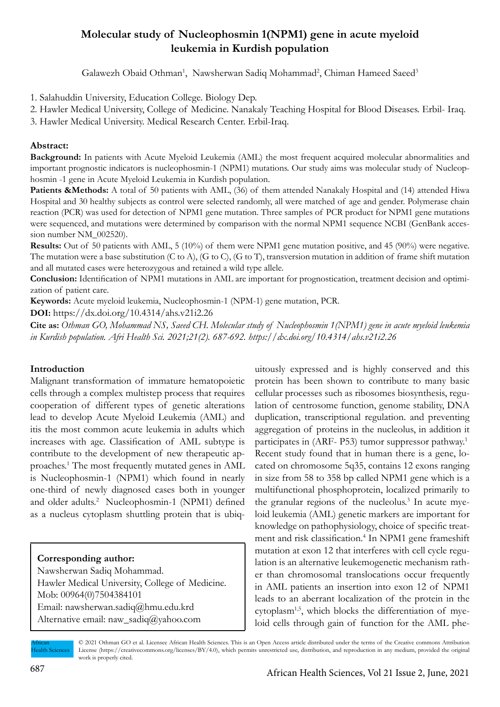# **Molecular study of Nucleophosmin 1(NPM1) gene in acute myeloid leukemia in Kurdish population**

Galawezh Obaid Othman<sup>1</sup>, Nawsherwan Sadiq Mohammad<sup>2</sup>, Chiman Hameed Saeed<sup>3</sup>

1. Salahuddin University, Education College. Biology Dep.

2. Hawler Medical University, College of Medicine. Nanakaly Teaching Hospital for Blood Diseases. Erbil- Iraq.

3. Hawler Medical University. Medical Research Center. Erbil-Iraq.

#### **Abstract:**

**Background:** In patients with Acute Myeloid Leukemia (AML) the most frequent acquired molecular abnormalities and important prognostic indicators is nucleophosmin-1 (NPM1) mutations. Our study aims was molecular study of Nucleophosmin -1 gene in Acute Myeloid Leukemia in Kurdish population.

**Patients &Methods:** A total of 50 patients with AML, (36) of them attended Nanakaly Hospital and (14) attended Hiwa Hospital and 30 healthy subjects as control were selected randomly, all were matched of age and gender. Polymerase chain reaction (PCR) was used for detection of NPM1 gene mutation. Three samples of PCR product for NPM1 gene mutations were sequenced, and mutations were determined by comparison with the normal NPM1 sequence NCBI (GenBank accession number NM\_002520).

**Results:** Out of 50 patients with AML, 5 (10%) of them were NPM1 gene mutation positive, and 45 (90%) were negative. The mutation were a base substitution (C to A), (G to C), (G to T), transversion mutation in addition of frame shift mutation and all mutated cases were heterozygous and retained a wild type allele.

**Conclusion:** Identification of NPM1 mutations in AML are important for prognostication, treatment decision and optimization of patient care.

**Keywords:** Acute myeloid leukemia, Nucleophosmin-1 (NPM-1) gene mutation, PCR.

**DOI:** https://dx.doi.org/10.4314/ahs.v21i2.26

**Cite as:** *Othman GO, Mohammad NS, Saeed CH. Molecular study of Nucleophosmin 1(NPM1) gene in acute myeloid leukemia in Kurdish population. Afri Health Sci. 2021;21(2). 687-692. https://dx.doi.org/10.4314/ahs.v21i2.26*

#### **Introduction**

Malignant transformation of immature hematopoietic cells through a complex multistep process that requires cooperation of different types of genetic alterations lead to develop Acute Myeloid Leukemia (AML) and itis the most common acute leukemia in adults which increases with age. Classification of AML subtype is contribute to the development of new therapeutic approaches.1 The most frequently mutated genes in AML is Nucleophosmin-1 (NPM1) which found in nearly one-third of newly diagnosed cases both in younger and older adults.<sup>2</sup> Nucleophosmin-1 (NPM1) defined as a nucleus cytoplasm shuttling protein that is ubiq-

#### **Corresponding author:**

Nawsherwan Sadiq Mohammad. Hawler Medical University, College of Medicine. Mob: 00964(0)7504384101 Email: nawsherwan.sadiq@hmu.edu.krd Alternative email: naw\_sadiq@yahoo.com

uitously expressed and is highly conserved and this protein has been shown to contribute to many basic cellular processes such as ribosomes biosynthesis, regulation of centrosome function, genome stability, DNA duplication, transcriptional regulation. and preventing aggregation of proteins in the nucleolus, in addition it participates in (ARF- P53) tumor suppressor pathway.<sup>1</sup> Recent study found that in human there is a gene, located on chromosome 5q35, contains 12 exons ranging in size from 58 to 358 bp called NPM1 gene which is a multifunctional phosphoprotein, localized primarily to the granular regions of the nucleolus.<sup>3</sup> In acute myeloid leukemia (AML) genetic markers are important for knowledge on pathophysiology, choice of specific treatment and risk classification.<sup>4</sup> In NPM1 gene frameshift mutation at exon 12 that interferes with cell cycle regulation is an alternative leukemogenetic mechanism rather than chromosomal translocations occur frequently in AML patients an insertion into exon 12 of NPM1 leads to an aberrant localization of the protein in the  $cytoplasm<sup>1,5</sup>$ , which blocks the differentiation of myeloid cells through gain of function for the AML phe-

African Health Sciences

© 2021 Othman GO et al. Licensee African Health Sciences. This is an Open Access article distributed under the terms of the Creative commons Attribution License (https://creativecommons.org/licenses/BY/4.0), which permits unrestricted use, distribution, and reproduction in any medium, provided the original work is properly cited.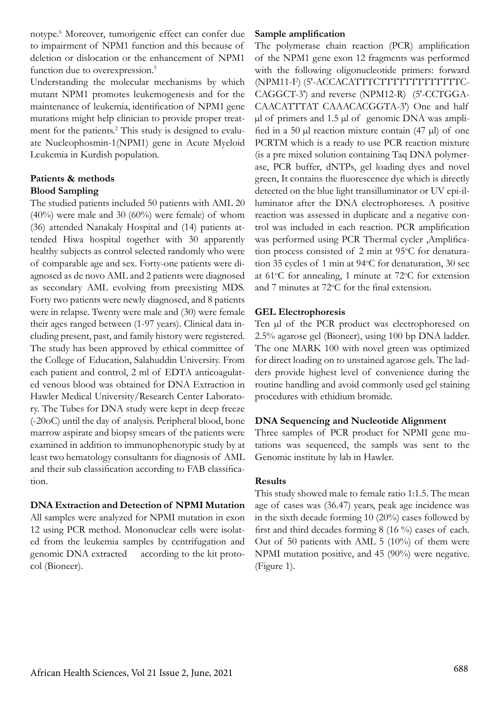notype.6 Moreover, tumorigenic effect can confer due to impairment of NPM1 function and this because of deletion or dislocation or the enhancement of NPM1 function due to overexpression.<sup>5</sup>

Understanding the molecular mechanisms by which mutant NPM1 promotes leukemogenesis and for the maintenance of leukemia, identification of NPM1 gene mutations might help clinician to provide proper treatment for the patients.<sup>2</sup> This study is designed to evaluate Nucleophosmin-1(NPM1) gene in Acute Myeloid Leukemia in Kurdish population.

# **Patients & methods Blood Sampling**

The studied patients included 50 patients with AML 20  $(40\%)$  were male and 30  $(60\%)$  were female) of whom (36) attended Nanakaly Hospital and (14) patients attended Hiwa hospital together with 30 apparently healthy subjects as control selected randomly who were of comparable age and sex. Forty-one patients were diagnosed as de novo AML and 2 patients were diagnosed as secondary AML evolving from preexisting MDS. Forty two patients were newly diagnosed, and 8 patients were in relapse. Twenty were male and (30) were female their ages ranged between (1-97 years). Clinical data including present, past, and family history were registered. The study has been approved by ethical committee of the College of Education, Salahuddin University. From each patient and control, 2 ml of EDTA anticoagulated venous blood was obtained for DNA Extraction in Hawler Medical University/Research Center Laboratory. The Tubes for DNA study were kept in deep freeze (-20oC) until the day of analysis. Peripheral blood, bone marrow aspirate and biopsy smears of the patients were examined in addition to immunophenotypic study by at least two hematology consultants for diagnosis of AML and their sub classification according to FAB classification.

# **DNA Extraction and Detection of NPMI Mutation**

All samples were analyzed for NPMI mutation in exon 12 using PCR method. Mononuclear cells were isolated from the leukemia samples by centrifugation and genomic DNA extracted according to the kit protocol (Bioneer).

# **Sample amplification**

The polymerase chain reaction (PCR) amplification of the NPM1 gene exon 12 fragments was performed with the following oligonucleotide primers: forward (NPM11-F) (5'-ACCACATTTCTTTTTTTTTTTTTC-CAGGCT-3') and reverse (NPM12-R) (5'-CCTGGA-CAACATTTAT CAAACACGGTA-3') One and half µl of primers and 1.5 µl of genomic DNA was amplified in a 50  $\mu$ l reaction mixture contain (47  $\mu$ l) of one PCRTM which is a ready to use PCR reaction mixture (is a pre mixed solution containing Taq DNA polymerase, PCR buffer, dNTPs, gel loading dyes and novel green, It contains the fluorescence dye which is directly detected on the blue light transilluminator or UV epi-illuminator after the DNA electrophoreses. A positive reaction was assessed in duplicate and a negative control was included in each reaction. PCR amplification was performed using PCR Thermal cycler ,Amplification process consisted of 2 min at 95°C for denaturation 35 cycles of 1 min at 94°C for denaturation, 30 sec at 61°C for annealing, 1 minute at 72°C for extension and 7 minutes at 72°C for the final extension.

# **GEL Electrophoresis**

Ten µl of the PCR product was electrophoresed on 2.5% agarose gel (Bioneer), using 100 bp DNA ladder. The one MARK 100 with novel green was optimized for direct loading on to unstained agarose gels. The ladders provide highest level of convenience during the routine handling and avoid commonly used gel staining procedures with ethidium bromide.

# **DNA Sequencing and Nucleotide Alignment**

Three samples of PCR product for NPMI gene mutations was sequenced, the sampls was sent to the Genomic institute by lab in Hawler.

# **Results**

This study showed male to female ratio 1:1.5. The mean age of cases was (36.47) years, peak age incidence was in the sixth decade forming 10 (20%) cases followed by first and third decades forming 8 (16 %) cases of each. Out of 50 patients with AML 5 (10%) of them were NPMI mutation positive, and 45 (90%) were negative. (Figure 1).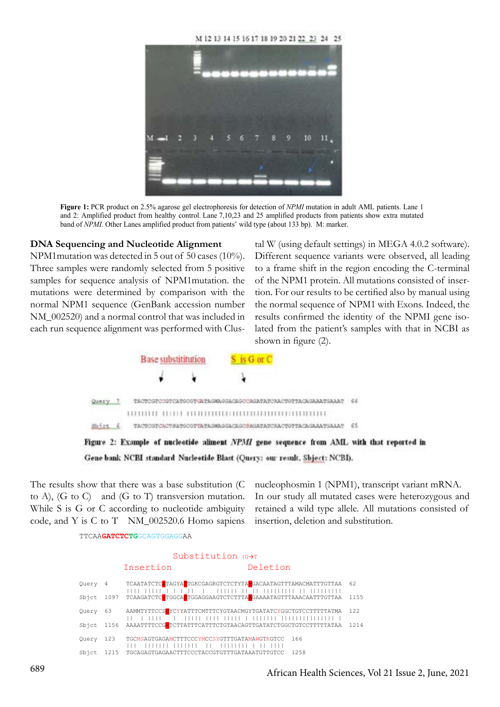M 12 13 14 15 16 17 18 19 20 21 22 23 24 25



**Figure 1:** PCR product on 2.5% agarose gel electrophoresis for detection of *NPMI* mutation in adult AML patients. Lane 1 and 2: Amplified product from healthy control. Lane 7,10,23 and 25 amplified products from patients show extra mutated band of *NPMI*. Other Lanes amplified product from patients' wild type (about 133 bp). M: marker.

#### **DNA Sequencing and Nucleotide Alignment**

NPM1mutation was detected in 5 out of 50 cases (10%). Different sequence variants were observed, Three samples were randomly selected from 5 positive to a frame shift in the re samples for sequence analysis of NPM1mutation. the mutations were determined by comparison with the normal NPM1 sequence (GenBank accession number NM\_002520) and a normal control that was included in each run sequence alignment was performed with Clus-

equencing and Nucleotide Alignment tal W (using default settings) in MEGA 4.0.2 software). Different sequence variants were observed, all leading to a frame shift in the region encoding the C-terminal of the NPM1 protein. All mutations consisted of insertion. For our results to be certified also by manual using the normal sequence of NPM1 with Exons. Indeed, the results confirmed the identity of the NPMI gene isolated from the patient's samples with that in NCBI as shown in figure (2).



Figure 2: Example of nucleotide aliment NPMI gene sequence from AML with that reported in Gene bank NCBI standard Nucleotide Blast (Query: our result, Sbject: NCBI).

The results show that there was a base substitution (C to A), (G to C) and (G to T) transversion mutation. While S is G or C according to nucleotide ambiguity code, and Y is C to T NM\_002520.6 Homo sapiens

TTCAA**GATCTCTG**GCAGTGGAGGAA

nucleophosmin 1 (NPM1), transcript variant mRNA. In our study all mutated cases were heterozygous and retained a wild type allele. All mutations consisted of insertion, deletion and substitution.

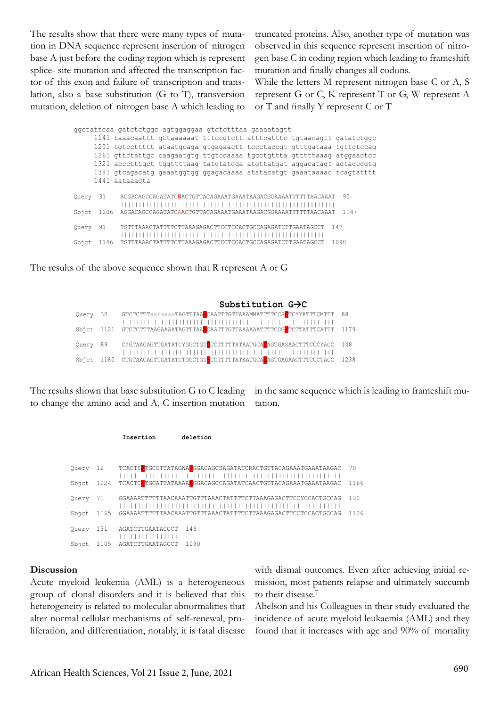The results show that there were many types of mutation in DNA sequence represent insertion of nitrogen base A just before the coding region which is represent splice- site mutation and affected the transcription factor of this exon and failure of transcription and translation, also a base substitution (G to T), transversion mutation, deletion of nitrogen base A which leading to truncated proteins. Also, another type of mutation was observed in this sequence represent insertion of nitrogen base C in coding region which leading to frameshift mutation and finally changes all codons.

While the letters M represent nitrogen base C or A, S represent G or C, K represent T or G, W represent A or T and finally Y represent C or T

|       |      | ggctattcaa gatctctggc agtggaggaa gtctctttaa gaaaatagtt                 |
|-------|------|------------------------------------------------------------------------|
|       |      |                                                                        |
|       |      | 1201 tgtccttttt ataatgcaga gtgagaactt tccctaccgt gtttgataaa tgttgtccag |
|       |      | 1261 gttctattgc caagaatgtg ttgtccaaaa tgcctgttta gtttttaaag atggaactcc |
|       |      | 1321 accctttgct tggttttaag tatgtatgga atgttatgat aggacatagt agtagcggtg |
|       |      | 1381 gtcagacatg gaaatggtgg ggagacaaaa atatacatgt gaaataaaac tcagtatttt |
|       |      | 1441 aataaaqta                                                         |
|       |      |                                                                        |
| Ouery | -31  | 90<br>AGGACAGCCAGATATCRACTGTTACAGAAATGAAATAAGACGGAAAATTTTTTAACAAAT     |
|       |      |                                                                        |
| Sbict | 1206 | 1147<br>AGGACAGCCAGATATCAACTGTTACAGAAATGAAATAAGACGGAAAATTTTTTAACAAAT   |
| Ouery | 91   | 147<br>TGTTTAAACTATTTTCTTAAAGAGACTTCCTCCACTGCCAGAGATCTTGAATAGCCT       |
|       |      |                                                                        |
| Sbict | 1146 | 1090<br>TGTTTAAACTATTTTCTTAAAGAGACTTCCTCCACTGCCAGAGATCTTGAATAGCCT      |
|       |      |                                                                        |

The results of the above sequence shown that R represent A or G

**Substitution G→C**<br>Query 30 GTCTCTTTaaraaaaTAGTTTAA■CAATTTGTTAAAMMATTTTCCS■TCYYA' GTCTCTTTaaraaaaTAGTTTAA<mark>-</mark>CAATTTGTTAAAMMATTTTCCS<mark>C</mark>TCYYATTTCMTTT 88 |||||||||| |||||||||||| |||||||||||| ||||||| || ||||| ||| GTCTCTTTAAGAAAATAGTTTAA<mark>A</mark>CAATTTGTTAAAAAATTTTCCG-TCTTATTTCATTT 1179 Query 89 CYGTAACAGTTGATATCYGGCTGT<mark>CCCTTTTTATAATGCAL</mark>AGTGASAACTTTCCCYACC 148 | ||||||||||||||| |||||| ||||||||||||||| ||||| ||||||||| ||| Sbjct 1180 CTGTAACAGTTGATATCTGGCTGT<mark>-</mark>CCTTTTTATAATGCA<mark>C</mark>AGTGAGAACTTTCCCTACC 1238

The results shown that base substitution G to C leading to change the amino acid and A, C insertion mutation

**Insertion deletion**

in the same sequence which is leading to frameshift mutation.

| Ouery 12  |      | TCACTS <b>A</b> TGCGTTATAGWA <b>C</b> GGACAGCSAGATATCRACTGTTACAGAAATGAAATAAGAC 70 |
|-----------|------|-----------------------------------------------------------------------------------|
|           |      | Sbjct 1224 TCACTC-TGCATTATAAAAAGGACAGCCAGATATCAACTGTTACAGAAATGAAATAAGAC<br>1166   |
| Ouery     | 71   | 130<br>GGAAAATTTTTTAACAAATTGTTTAAACTATTTTCTTAAAGAGACTTCCYCCACTGCCAG               |
| Sbict     | 1165 | 1106<br>GGAAAATTTTTTAACAAATTGTTTAAACTATTTTCTTAAAGAGACTTCCTCCACTGCCAG              |
| Ouery 131 |      | AGATCTTGAATAGCCT<br>146                                                           |
| Sbict     | 1105 | 1090<br>AGATCTTGAATAGCCT                                                          |

#### **Discussion**

Acute myeloid leukemia (AML) is a heterogeneous group of clonal disorders and it is believed that this heterogeneity is related to molecular abnormalities that alter normal cellular mechanisms of self-renewal, proliferation, and differentiation, notably, it is fatal disease

with dismal outcomes. Even after achieving initial remission, most patients relapse and ultimately succumb to their disease.7

Abelson and his Colleagues in their study evaluated the incidence of acute myeloid leukaemia (AML) and they found that it increases with age and 90% of mortality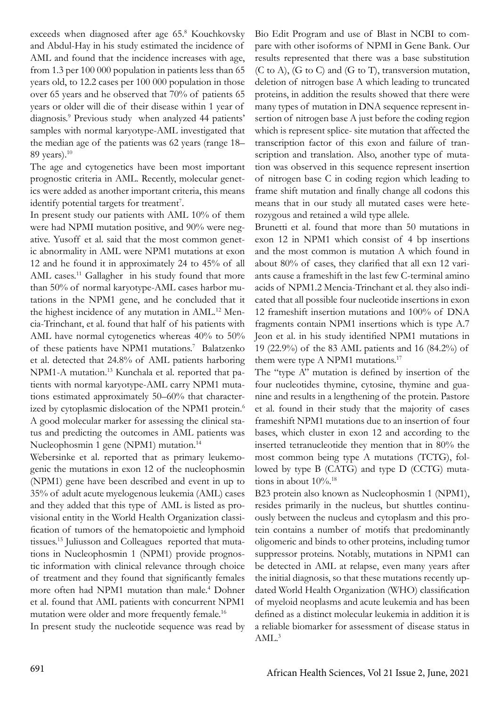exceeds when diagnosed after age 65.8 Kouchkovsky and Abdul-Hay in his study estimated the incidence of AML and found that the incidence increases with age, from 1.3 per 100 000 population in patients less than 65 years old, to 12.2 cases per 100 000 population in those over 65 years and he observed that 70% of patients 65 years or older will die of their disease within 1 year of diagnosis.9 Previous study when analyzed 44 patients' samples with normal karyotype-AML investigated that the median age of the patients was 62 years (range 18– 89 years).10

The age and cytogenetics have been most important prognostic criteria in AML. Recently, molecular genetics were added as another important criteria, this means identify potential targets for treatment<sup>7</sup>.

In present study our patients with AML 10% of them were had NPMI mutation positive, and 90% were negative. Yusoff et al. said that the most common genetic abnormality in AML were NPM1 mutations at exon 12 and he found it in approximately 24 to 45% of all AML cases.<sup>11</sup> Gallagher in his study found that more than 50% of normal karyotype-AML cases harbor mutations in the NPM1 gene, and he concluded that it the highest incidence of any mutation in AML.<sup>12</sup> Mencia-Trinchant, et al. found that half of his patients with AML have normal cytogenetics whereas 40% to 50% of these patients have NPM1 mutations.<sup>7</sup> Balatzenko et al. detected that 24.8% of AML patients harboring NPM1-A mutation.<sup>13</sup> Kunchala et al. reported that patients with normal karyotype-AML carry NPM1 mutations estimated approximately 50–60% that characterized by cytoplasmic dislocation of the NPM1 protein.<sup>6</sup> A good molecular marker for assessing the clinical status and predicting the outcomes in AML patients was Nucleophosmin 1 gene (NPM1) mutation.<sup>14</sup>

Webersinke et al. reported that as primary leukemogenic the mutations in exon 12 of the nucleophosmin (NPM1) gene have been described and event in up to 35% of adult acute myelogenous leukemia (AML) cases and they added that this type of AML is listed as provisional entity in the World Health Organization classification of tumors of the hematopoietic and lymphoid tissues.15 Juliusson and Colleagues reported that mutations in Nucleophosmin 1 (NPM1) provide prognostic information with clinical relevance through choice of treatment and they found that significantly females more often had NPM1 mutation than male.<sup>4</sup> Dohner et al. found that AML patients with concurrent NPM1 mutation were older and more frequently female.16

In present study the nucleotide sequence was read by

Bio Edit Program and use of Blast in NCBI to compare with other isoforms of NPMI in Gene Bank. Our results represented that there was a base substitution (C to A), (G to C) and (G to T), transversion mutation, deletion of nitrogen base A which leading to truncated proteins, in addition the results showed that there were many types of mutation in DNA sequence represent insertion of nitrogen base A just before the coding region which is represent splice- site mutation that affected the transcription factor of this exon and failure of transcription and translation. Also, another type of mutation was observed in this sequence represent insertion of nitrogen base C in coding region which leading to frame shift mutation and finally change all codons this means that in our study all mutated cases were heterozygous and retained a wild type allele.

Brunetti et al. found that more than 50 mutations in exon 12 in NPM1 which consist of 4 bp insertions and the most common is mutation A which found in about 80% of cases, they clarified that all exn 12 variants cause a frameshift in the last few C-terminal amino acids of NPM1.2 Mencia-Trinchant et al. they also indicated that all possible four nucleotide insertions in exon 12 frameshift insertion mutations and 100% of DNA fragments contain NPM1 insertions which is type A.7 Jeon et al. in his study identified NPM1 mutations in 19 (22.9%) of the 83 AML patients and 16 (84.2%) of them were type A NPM1 mutations.<sup>17</sup>

The "type A" mutation is defined by insertion of the four nucleotides thymine, cytosine, thymine and guanine and results in a lengthening of the protein. Pastore et al. found in their study that the majority of cases frameshift NPM1 mutations due to an insertion of four bases, which cluster in exon 12 and according to the inserted tetranucleotide they mention that in 80% the most common being type A mutations (TCTG), followed by type B (CATG) and type D (CCTG) mutations in about 10%.18

B23 protein also known as Nucleophosmin 1 (NPM1), resides primarily in the nucleus, but shuttles continuously between the nucleus and cytoplasm and this protein contains a number of motifs that predominantly oligomeric and binds to other proteins, including tumor suppressor proteins. Notably, mutations in NPM1 can be detected in AML at relapse, even many years after the initial diagnosis, so that these mutations recently updated World Health Organization (WHO) classification of myeloid neoplasms and acute leukemia and has been defined as a distinct molecular leukemia in addition it is a reliable biomarker for assessment of disease status in AML.<sup>3</sup>